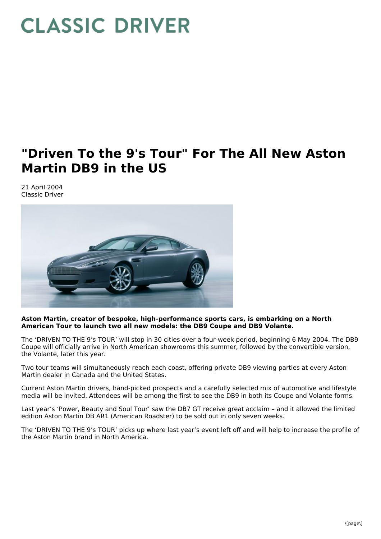## **CLASSIC DRIVER**

## **"Driven To the 9's Tour" For The All New Aston Martin DB9 in the US**

21 April 2004 Classic Driver



## **Aston Martin, creator of bespoke, high-performance sports cars, is embarking on a North American Tour to launch two all new models: the DB9 Coupe and DB9 Volante.**

The 'DRIVEN TO THE 9's TOUR' will stop in 30 cities over a four-week period, beginning 6 May 2004. The DB9 Coupe will officially arrive in North American showrooms this summer, followed by the convertible version, the Volante, later this year.

Two tour teams will simultaneously reach each coast, offering private DB9 viewing parties at every Aston Martin dealer in Canada and the United States.

Current Aston Martin drivers, hand-picked prospects and a carefully selected mix of automotive and lifestyle media will be invited. Attendees will be among the first to see the DB9 in both its Coupe and Volante forms.

Last year's 'Power, Beauty and Soul Tour' saw the DB7 GT receive great acclaim – and it allowed the limited edition Aston Martin DB AR1 (American Roadster) to be sold out in only seven weeks.

The 'DRIVEN TO THE 9's TOUR' picks up where last year's event left off and will help to increase the profile of the Aston Martin brand in North America.